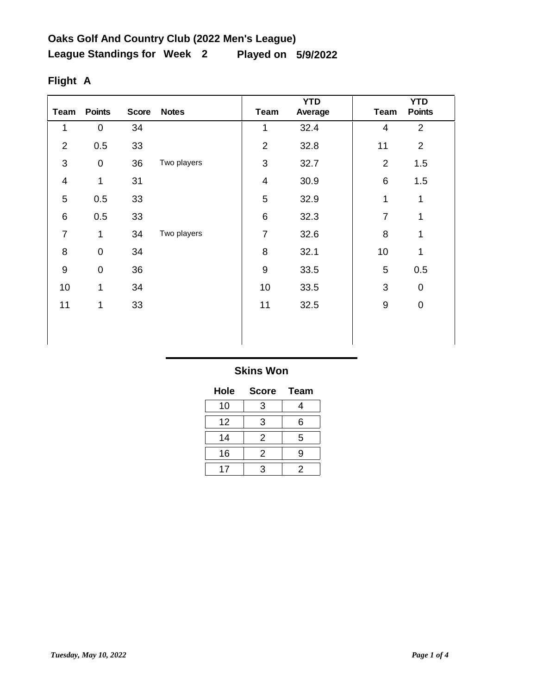| <b>Team</b>      | <b>Points</b>       | <b>Score</b> | <b>Notes</b> | Team           | <b>YTD</b><br>Average | <b>Team</b>      | <b>YTD</b><br><b>Points</b> |
|------------------|---------------------|--------------|--------------|----------------|-----------------------|------------------|-----------------------------|
| 1                | $\pmb{0}$           | 34           |              | 1              | 32.4                  | 4                | $\overline{2}$              |
| $\overline{2}$   | 0.5                 | 33           |              | $\overline{2}$ | 32.8                  | 11               | $\overline{2}$              |
| 3                | $\boldsymbol{0}$    | 36           | Two players  | 3              | 32.7                  | $\overline{2}$   | 1.5                         |
| $\overline{4}$   | 1                   | 31           |              | $\overline{4}$ | 30.9                  | 6                | 1.5                         |
| 5                | 0.5                 | 33           |              | 5              | 32.9                  | 1                | 1                           |
| $\,6$            | 0.5                 | 33           |              | 6              | 32.3                  | 7                | 1                           |
| $\overline{7}$   | 1                   | 34           | Two players  | 7              | 32.6                  | 8                | $\mathbf{1}$                |
| 8                | $\mathsf{O}\xspace$ | 34           |              | 8              | 32.1                  | 10               | 1                           |
| $\boldsymbol{9}$ | $\mathbf 0$         | 36           |              | 9              | 33.5                  | 5                | 0.5                         |
| 10               | 1                   | 34           |              | 10             | 33.5                  | 3                | $\pmb{0}$                   |
| 11               | $\mathbf{1}$        | 33           |              | 11             | 32.5                  | $\boldsymbol{9}$ | $\boldsymbol{0}$            |
|                  |                     |              |              |                |                       |                  |                             |
|                  |                     |              |              |                |                       |                  |                             |

# **Flight A**

| Hole | <b>Score</b>              | <b>Team</b> |
|------|---------------------------|-------------|
| 10   | 3                         | 4           |
| 12   | 3                         | 6           |
| 14   | 2                         | 5           |
| 16   | 2                         | g           |
| 17   | $\boldsymbol{\mathsf{a}}$ | 2           |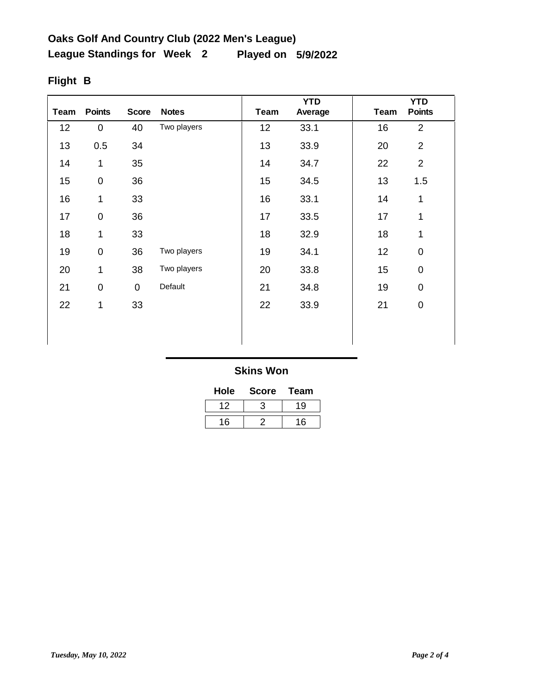| <b>Team</b> | <b>Points</b> | <b>Score</b>   | <b>Notes</b> | Team | <b>YTD</b><br>Average | <b>Team</b> | <b>YTD</b><br><b>Points</b> |
|-------------|---------------|----------------|--------------|------|-----------------------|-------------|-----------------------------|
| 12          | 0             | 40             | Two players  | 12   | 33.1                  | 16          | $\overline{2}$              |
| 13          | 0.5           | 34             |              | 13   | 33.9                  | 20          | $\overline{2}$              |
| 14          | 1             | 35             |              | 14   | 34.7                  | 22          | $\overline{2}$              |
| 15          | $\pmb{0}$     | 36             |              | 15   | 34.5                  | 13          | 1.5                         |
| 16          | 1             | 33             |              | 16   | 33.1                  | 14          | 1                           |
| 17          | $\pmb{0}$     | 36             |              | 17   | 33.5                  | 17          | 1                           |
| 18          | 1             | 33             |              | 18   | 32.9                  | 18          | 1                           |
| 19          | $\pmb{0}$     | 36             | Two players  | 19   | 34.1                  | 12          | $\mathbf 0$                 |
| 20          | $\mathbf{1}$  | 38             | Two players  | 20   | 33.8                  | 15          | $\mathbf 0$                 |
| 21          | $\pmb{0}$     | $\overline{0}$ | Default      | 21   | 34.8                  | 19          | $\mathbf 0$                 |
| 22          | 1             | 33             |              | 22   | 33.9                  | 21          | $\mathbf 0$                 |
|             |               |                |              |      |                       |             |                             |
|             |               |                |              |      |                       |             |                             |

# **Flight B**

| Hole | <b>Score</b> | Team |
|------|--------------|------|
| 12   |              | 19   |
| 16   |              | 16   |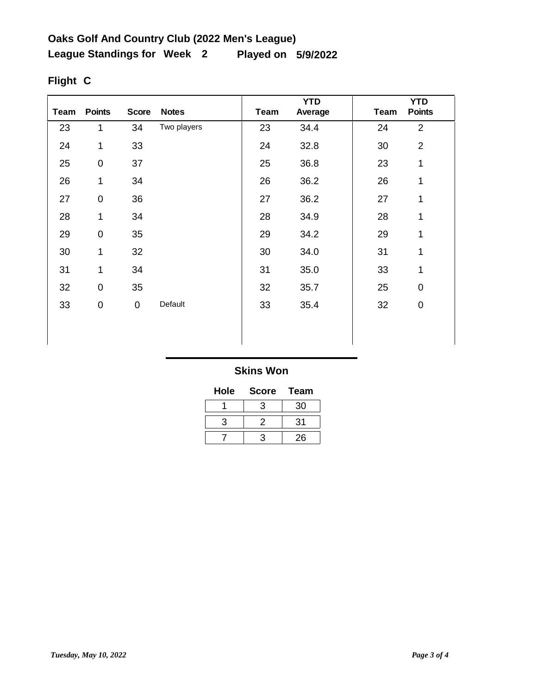| Team | <b>Points</b>       | <b>Score</b> | <b>Notes</b> | <b>Team</b> | <b>YTD</b><br>Average | <b>Team</b> | <b>YTD</b><br><b>Points</b> |
|------|---------------------|--------------|--------------|-------------|-----------------------|-------------|-----------------------------|
| 23   | 1                   | 34           | Two players  | 23          | 34.4                  | 24          | $\overline{2}$              |
| 24   | 1                   | 33           |              | 24          | 32.8                  | 30          | $\overline{2}$              |
| 25   | $\mathsf{O}\xspace$ | 37           |              | 25          | 36.8                  | 23          | 1                           |
| 26   | 1                   | 34           |              | 26          | 36.2                  | 26          | 1                           |
| 27   | $\mathbf 0$         | 36           |              | 27          | 36.2                  | 27          | 1                           |
| 28   | 1                   | 34           |              | 28          | 34.9                  | 28          | 1                           |
| 29   | $\boldsymbol{0}$    | 35           |              | 29          | 34.2                  | 29          | 1                           |
| 30   | 1                   | 32           |              | 30          | 34.0                  | 31          | 1                           |
| 31   | 1                   | 34           |              | 31          | 35.0                  | 33          | 1                           |
| 32   | $\mathsf 0$         | 35           |              | 32          | 35.7                  | 25          | $\mathbf 0$                 |
| 33   | $\mathbf 0$         | $\mathbf 0$  | Default      | 33          | 35.4                  | 32          | $\mathbf 0$                 |
|      |                     |              |              |             |                       |             |                             |
|      |                     |              |              |             |                       |             |                             |

# **Flight C**

| Hole | <b>Score</b> | Team |
|------|--------------|------|
|      | З            | 30   |
| з    | 2            | 31   |
|      | ว            | 26   |